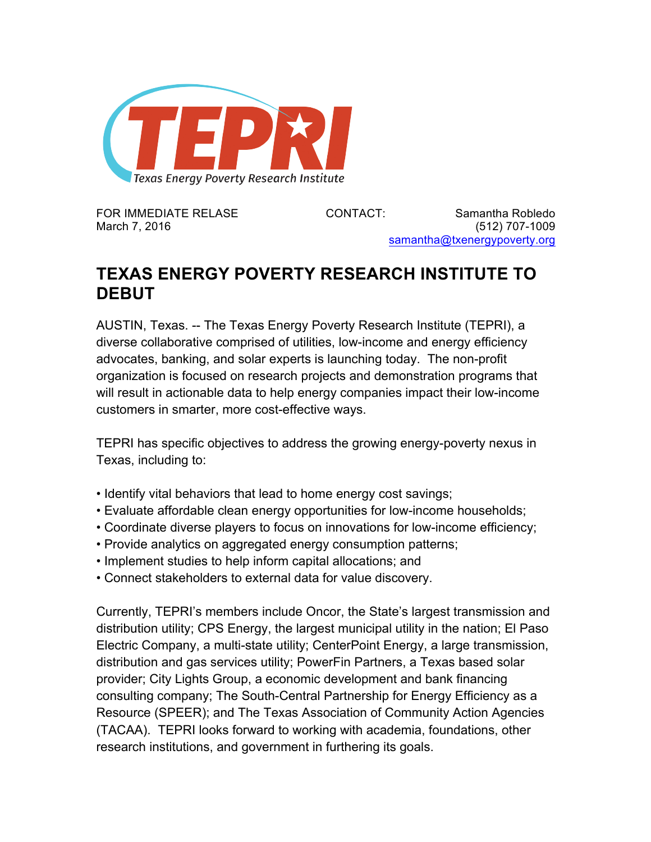

FOR IMMEDIATE RELASE CONTACT: Samantha Robledo March 7, 2016 (512) 707-1009 samantha@txenergypoverty.org

## **TEXAS ENERGY POVERTY RESEARCH INSTITUTE TO DEBUT**

AUSTIN, Texas. -- The Texas Energy Poverty Research Institute (TEPRI), a diverse collaborative comprised of utilities, low-income and energy efficiency advocates, banking, and solar experts is launching today. The non-profit organization is focused on research projects and demonstration programs that will result in actionable data to help energy companies impact their low-income customers in smarter, more cost-effective ways.

TEPRI has specific objectives to address the growing energy-poverty nexus in Texas, including to:

- Identify vital behaviors that lead to home energy cost savings;
- Evaluate affordable clean energy opportunities for low-income households;
- Coordinate diverse players to focus on innovations for low-income efficiency;
- Provide analytics on aggregated energy consumption patterns;
- Implement studies to help inform capital allocations; and
- Connect stakeholders to external data for value discovery.

Currently, TEPRI's members include Oncor, the State's largest transmission and distribution utility; CPS Energy, the largest municipal utility in the nation; El Paso Electric Company, a multi-state utility; CenterPoint Energy, a large transmission, distribution and gas services utility; PowerFin Partners, a Texas based solar provider; City Lights Group, a economic development and bank financing consulting company; The South-Central Partnership for Energy Efficiency as a Resource (SPEER); and The Texas Association of Community Action Agencies (TACAA). TEPRI looks forward to working with academia, foundations, other research institutions, and government in furthering its goals.